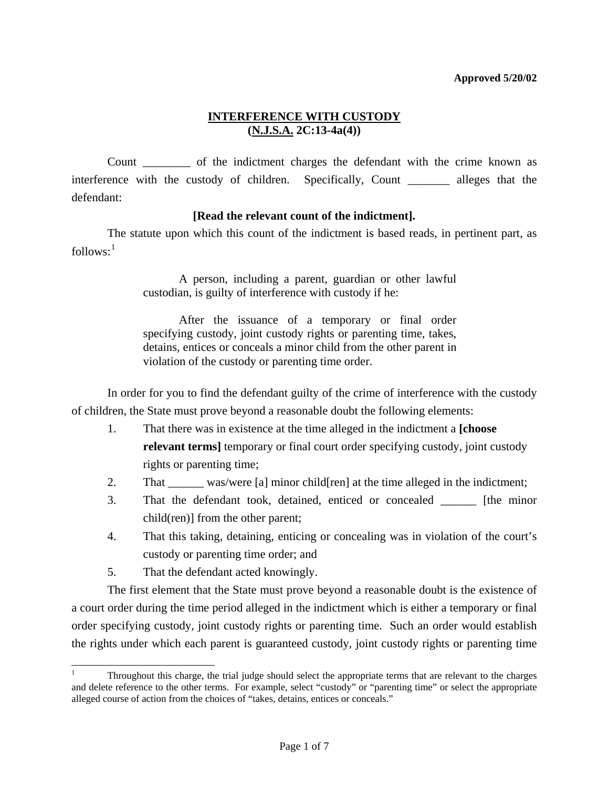Count \_\_\_\_\_\_\_\_ of the indictment charges the defendant with the crime known as interference with the custody of children. Specifically, Count \_\_\_\_\_\_\_ alleges that the defendant:

## **[Read the relevant count of the indictment].**

 The statute upon which this count of the indictment is based reads, in pertinent part, as  $follows:$ <sup>[1](#page-5-0)</sup>

> A person, including a parent, guardian or other lawful custodian, is guilty of interference with custody if he:

> After the issuance of a temporary or final order specifying custody, joint custody rights or parenting time, takes, detains, entices or conceals a minor child from the other parent in violation of the custody or parenting time order.

 In order for you to find the defendant guilty of the crime of interference with the custody of children, the State must prove beyond a reasonable doubt the following elements:

- 1. That there was in existence at the time alleged in the indictment a **[choose relevant terms]** temporary or final court order specifying custody, joint custody rights or parenting time;
- 2. That was/were [a] minor child[ren] at the time alleged in the indictment;
- 3. That the defendant took, detained, enticed or concealed \_\_\_\_\_\_ [the minor child(ren)] from the other parent;
- 4. That this taking, detaining, enticing or concealing was in violation of the court's custody or parenting time order; and
- 5. That the defendant acted knowingly.

l

<span id="page-0-0"></span> The first element that the State must prove beyond a reasonable doubt is the existence of a court order during the time period alleged in the indictment which is either a temporary or final order specifying custody, joint custody rights or parenting time. Such an order would establish the rights under which each parent is guaranteed custody, joint custody rights or parenting time

<sup>1</sup> Throughout this charge, the trial judge should select the appropriate terms that are relevant to the charges and delete reference to the other terms. For example, select "custody" or "parenting time" or select the appropriate alleged course of action from the choices of "takes, detains, entices or conceals."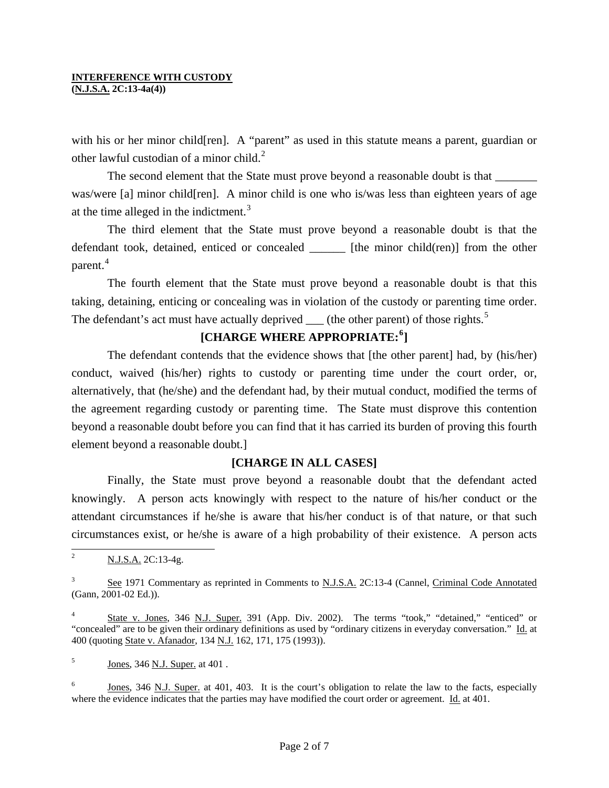### **INTERFERENCE WITH CUSTODY**

**(N.J.S.A. 2C:13-4a(4))** 

with his or her minor child[ren]. A "parent" as used in this statute means a parent, guardian or other lawful custodian of a minor child. $<sup>2</sup>$  $<sup>2</sup>$  $<sup>2</sup>$ </sup>

The second element that the State must prove beyond a reasonable doubt is that was/were [a] minor child[ren]. A minor child is one who is/was less than eighteen years of age at the time alleged in the indictment. $3$ 

 The third element that the State must prove beyond a reasonable doubt is that the defendant took, detained, enticed or concealed \_\_\_\_\_\_ [the minor child(ren)] from the other parent.<sup>[4](#page-1-1)</sup>

 The fourth element that the State must prove beyond a reasonable doubt is that this taking, detaining, enticing or concealing was in violation of the custody or parenting time order. The defendant's act must have actually deprived  $\mu$  (the other parent) of those rights.<sup>[5](#page-1-2)</sup>

# **[CHARGE WHERE APPROPRIATE:[6](#page-1-3) ]**

 The defendant contends that the evidence shows that [the other parent] had, by (his/her) conduct, waived (his/her) rights to custody or parenting time under the court order, or, alternatively, that (he/she) and the defendant had, by their mutual conduct, modified the terms of the agreement regarding custody or parenting time. The State must disprove this contention beyond a reasonable doubt before you can find that it has carried its burden of proving this fourth element beyond a reasonable doubt.]

## **[CHARGE IN ALL CASES]**

 Finally, the State must prove beyond a reasonable doubt that the defendant acted knowingly. A person acts knowingly with respect to the nature of his/her conduct or the attendant circumstances if he/she is aware that his/her conduct is of that nature, or that such circumstances exist, or he/she is aware of a high probability of their existence. A person acts

<sup>&</sup>lt;sup>2</sup> N.J.S.A. 2C:13-4g.

<span id="page-1-0"></span><sup>3</sup> See 1971 Commentary as reprinted in Comments to N.J.S.A. 2C:13-4 (Cannel, Criminal Code Annotated (Gann, 2001-02 Ed.)).

<span id="page-1-1"></span><sup>4</sup> State v. Jones, 346 N.J. Super. 391 (App. Div. 2002). The terms "took," "detained," "enticed" or "concealed" are to be given their ordinary definitions as used by "ordinary citizens in everyday conversation." Id. at 400 (quoting State v. Afanador, 134 N.J. 162, 171, 175 (1993)).

<span id="page-1-2"></span><sup>5</sup> Jones, 346 N.J. Super. at 401 .

<span id="page-1-4"></span><span id="page-1-3"></span><sup>6</sup> Jones, 346 N.J. Super. at 401, 403. It is the court's obligation to relate the law to the facts, especially where the evidence indicates that the parties may have modified the court order or agreement. Id. at 401.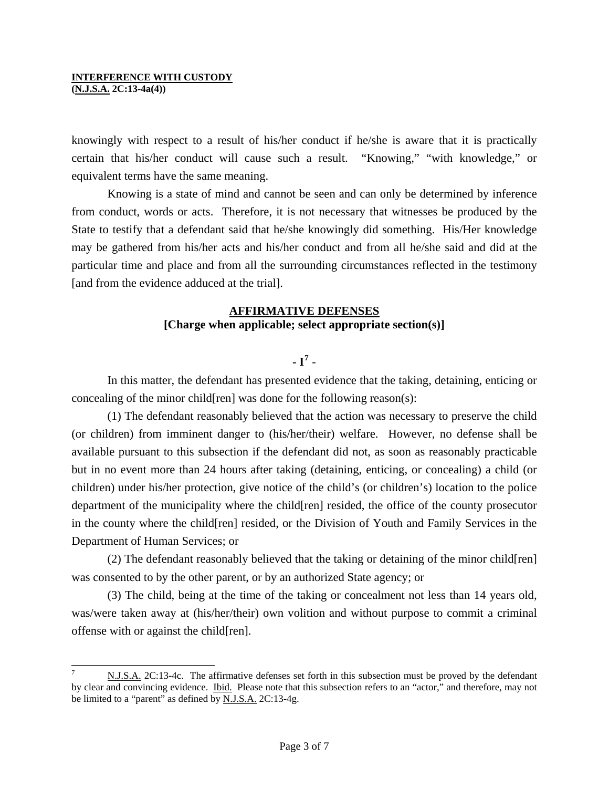l

knowingly with respect to a result of his/her conduct if he/she is aware that it is practically certain that his/her conduct will cause such a result. "Knowing," "with knowledge," or equivalent terms have the same meaning.

 Knowing is a state of mind and cannot be seen and can only be determined by inference from conduct, words or acts. Therefore, it is not necessary that witnesses be produced by the State to testify that a defendant said that he/she knowingly did something. His/Her knowledge may be gathered from his/her acts and his/her conduct and from all he/she said and did at the particular time and place and from all the surrounding circumstances reflected in the testimony [and from the evidence adduced at the trial].

### **AFFIRMATIVE DEFENSES [Charge when applicable; select appropriate section(s)]**

**- I[7](#page-1-4)** -

 In this matter, the defendant has presented evidence that the taking, detaining, enticing or concealing of the minor child[ren] was done for the following reason(s):

 (1) The defendant reasonably believed that the action was necessary to preserve the child (or children) from imminent danger to (his/her/their) welfare. However, no defense shall be available pursuant to this subsection if the defendant did not, as soon as reasonably practicable but in no event more than 24 hours after taking (detaining, enticing, or concealing) a child (or children) under his/her protection, give notice of the child's (or children's) location to the police department of the municipality where the child[ren] resided, the office of the county prosecutor in the county where the child[ren] resided, or the Division of Youth and Family Services in the Department of Human Services; or

 (2) The defendant reasonably believed that the taking or detaining of the minor child[ren] was consented to by the other parent, or by an authorized State agency; or

<span id="page-2-0"></span> (3) The child, being at the time of the taking or concealment not less than 14 years old, was/were taken away at (his/her/their) own volition and without purpose to commit a criminal offense with or against the child[ren].

<sup>7</sup> N.J.S.A. 2C:13-4c. The affirmative defenses set forth in this subsection must be proved by the defendant by clear and convincing evidence. Ibid. Please note that this subsection refers to an "actor," and therefore, may not be limited to a "parent" as defined by **N.J.S.A.** 2C:13-4g.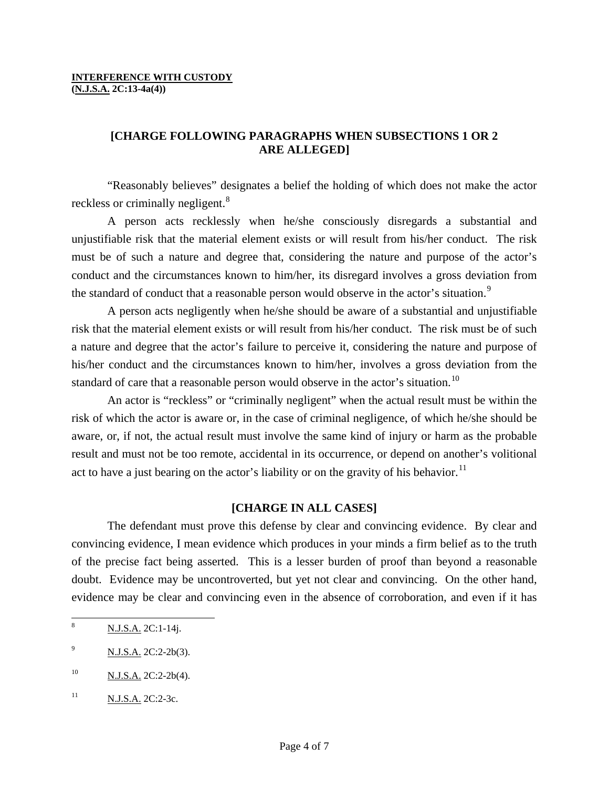## **[CHARGE FOLLOWING PARAGRAPHS WHEN SUBSECTIONS 1 OR 2 ARE ALLEGED]**

 "Reasonably believes" designates a belief the holding of which does not make the actor reckless or criminally negligent.<sup>[8](#page-2-0)</sup>

 A person acts recklessly when he/she consciously disregards a substantial and unjustifiable risk that the material element exists or will result from his/her conduct. The risk must be of such a nature and degree that, considering the nature and purpose of the actor's conduct and the circumstances known to him/her, its disregard involves a gross deviation from the standard of conduct that a reasonable person would observe in the actor's situation.<sup>[9](#page-3-0)</sup>

 A person acts negligently when he/she should be aware of a substantial and unjustifiable risk that the material element exists or will result from his/her conduct. The risk must be of such a nature and degree that the actor's failure to perceive it, considering the nature and purpose of his/her conduct and the circumstances known to him/her, involves a gross deviation from the standard of care that a reasonable person would observe in the actor's situation.<sup>[10](#page-3-1)</sup>

 An actor is "reckless" or "criminally negligent" when the actual result must be within the risk of which the actor is aware or, in the case of criminal negligence, of which he/she should be aware, or, if not, the actual result must involve the same kind of injury or harm as the probable result and must not be too remote, accidental in its occurrence, or depend on another's volitional act to have a just bearing on the actor's liability or on the gravity of his behavior.<sup>[11](#page-3-2)</sup>

## **[CHARGE IN ALL CASES]**

 The defendant must prove this defense by clear and convincing evidence. By clear and convincing evidence, I mean evidence which produces in your minds a firm belief as to the truth of the precise fact being asserted. This is a lesser burden of proof than beyond a reasonable doubt. Evidence may be uncontroverted, but yet not clear and convincing. On the other hand, evidence may be clear and convincing even in the absence of corroboration, and even if it has

<span id="page-3-3"></span> $\overline{a}$ 

<sup>8</sup> N.J.S.A. 2C:1-14j.

<span id="page-3-0"></span><sup>9</sup> N.J.S.A. 2C:2-2b(3).

<span id="page-3-1"></span> $10$  N.J.S.A. 2C:2-2b(4).

<span id="page-3-2"></span><sup>&</sup>lt;sup>11</sup> N.J.S.A. 2C:2-3c.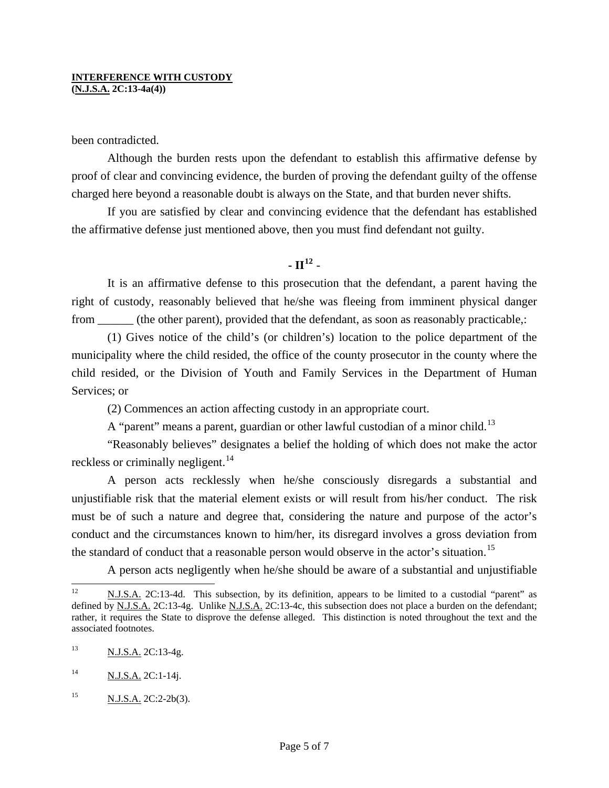been contradicted.

 Although the burden rests upon the defendant to establish this affirmative defense by proof of clear and convincing evidence, the burden of proving the defendant guilty of the offense charged here beyond a reasonable doubt is always on the State, and that burden never shifts.

 If you are satisfied by clear and convincing evidence that the defendant has established the affirmative defense just mentioned above, then you must find defendant not guilty.

## **- II[12](#page-3-3)** -

 It is an affirmative defense to this prosecution that the defendant, a parent having the right of custody, reasonably believed that he/she was fleeing from imminent physical danger from \_\_\_\_\_\_ (the other parent), provided that the defendant, as soon as reasonably practicable,:

 (1) Gives notice of the child's (or children's) location to the police department of the municipality where the child resided, the office of the county prosecutor in the county where the child resided, or the Division of Youth and Family Services in the Department of Human Services; or

(2) Commences an action affecting custody in an appropriate court.

A "parent" means a parent, guardian or other lawful custodian of a minor child.<sup>[13](#page-4-0)</sup>

 "Reasonably believes" designates a belief the holding of which does not make the actor reckless or criminally negligent.<sup>[14](#page-4-1)</sup>

 A person acts recklessly when he/she consciously disregards a substantial and unjustifiable risk that the material element exists or will result from his/her conduct. The risk must be of such a nature and degree that, considering the nature and purpose of the actor's conduct and the circumstances known to him/her, its disregard involves a gross deviation from the standard of conduct that a reasonable person would observe in the actor's situation.<sup>[15](#page-4-2)</sup>

A person acts negligently when he/she should be aware of a substantial and unjustifiable

<span id="page-4-3"></span> $12$ N.J.S.A. 2C:13-4d. This subsection, by its definition, appears to be limited to a custodial "parent" as defined by N.J.S.A. 2C:13-4g. Unlike N.J.S.A. 2C:13-4c, this subsection does not place a burden on the defendant; rather, it requires the State to disprove the defense alleged. This distinction is noted throughout the text and the associated footnotes.

<span id="page-4-0"></span><sup>&</sup>lt;sup>13</sup> N.J.S.A. 2C:13-4g.

<span id="page-4-1"></span> $N.J.S.A. 2C:1-14j.$ 

<span id="page-4-2"></span> $^{15}$  N.J.S.A. 2C:2-2b(3).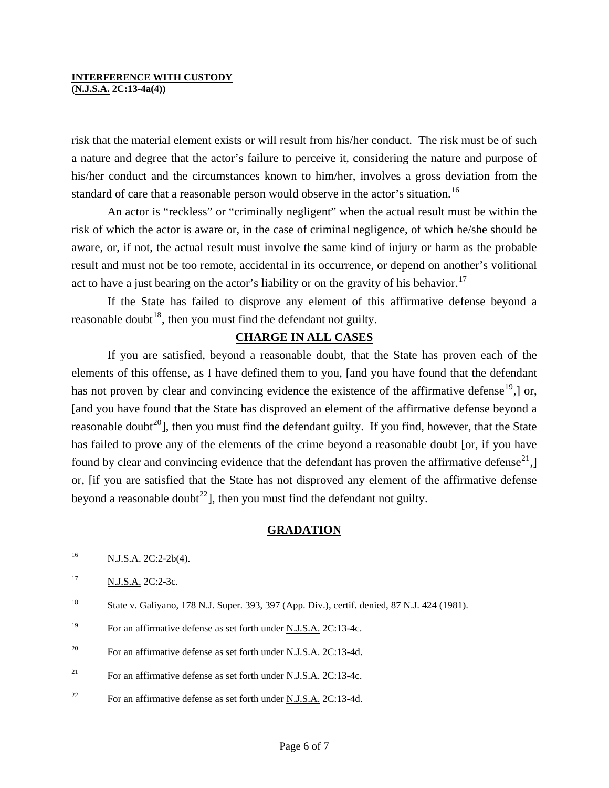## **INTERFERENCE WITH CUSTODY**

**(N.J.S.A. 2C:13-4a(4))** 

risk that the material element exists or will result from his/her conduct. The risk must be of such a nature and degree that the actor's failure to perceive it, considering the nature and purpose of his/her conduct and the circumstances known to him/her, involves a gross deviation from the standard of care that a reasonable person would observe in the actor's situation.<sup>[16](#page-4-3)</sup>

 An actor is "reckless" or "criminally negligent" when the actual result must be within the risk of which the actor is aware or, in the case of criminal negligence, of which he/she should be aware, or, if not, the actual result must involve the same kind of injury or harm as the probable result and must not be too remote, accidental in its occurrence, or depend on another's volitional act to have a just bearing on the actor's liability or on the gravity of his behavior.<sup>[17](#page-5-1)</sup>

 If the State has failed to disprove any element of this affirmative defense beyond a reasonable doubt<sup>[18](#page-5-2)</sup>, then you must find the defendant not guilty.

### **CHARGE IN ALL CASES**

 If you are satisfied, beyond a reasonable doubt, that the State has proven each of the elements of this offense, as I have defined them to you, [and you have found that the defendant has not proven by clear and convincing evidence the existence of the affirmative defense<sup>[19](#page-5-3)</sup>, or, [and you have found that the State has disproved an element of the affirmative defense beyond a reasonable doubt<sup>[20](#page-5-4)</sup>], then you must find the defendant guilty. If you find, however, that the State has failed to prove any of the elements of the crime beyond a reasonable doubt [or, if you have found by clear and convincing evidence that the defendant has proven the affirmative defense<sup>[21](#page-5-0)</sup>, $\vert$ or, [if you are satisfied that the State has not disproved any element of the affirmative defense beyond a reasonable doubt<sup>[22](#page-5-5)</sup>, then you must find the defendant not guilty.

### **GRADATION**

<span id="page-5-5"></span><sup>22</sup> For an affirmative defense as set forth under N.J.S.A. 2C:13-4d.

<sup>16</sup> N.J.S.A. 2C:2-2b(4).

<span id="page-5-1"></span><sup>&</sup>lt;sup>17</sup> N.J.S.A. 2C:2-3c.

<span id="page-5-2"></span><sup>&</sup>lt;sup>18</sup> State v. Galiyano, 178 N.J. Super. 393, 397 (App. Div.), certif. denied, 87 N.J. 424 (1981).

<span id="page-5-3"></span><sup>&</sup>lt;sup>19</sup> For an affirmative defense as set forth under <u>N.J.S.A.</u> 2C:13-4c.

<span id="page-5-4"></span><sup>&</sup>lt;sup>20</sup> For an affirmative defense as set forth under <u>N.J.S.A.</u> 2C:13-4d.

<span id="page-5-0"></span><sup>&</sup>lt;sup>21</sup> For an affirmative defense as set forth under N.J.S.A. 2C:13-4c.